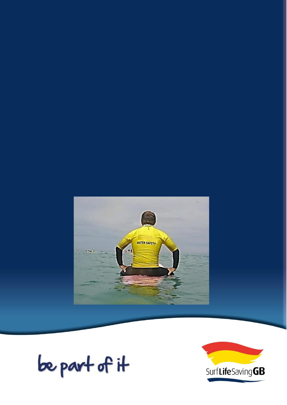

be part of it

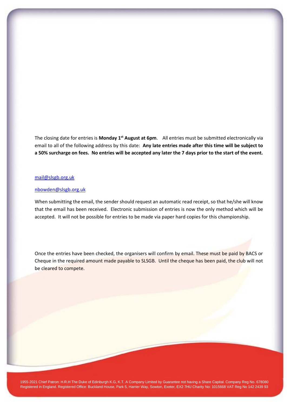The closing date for entries is **Monday 1 st August at 6pm**. All entries must be submitted electronically via email to all of the following address by this date: **Any late entries made after this time will be subject to a 50% surcharge on fees. No entries will be accepted any later the 7 days prior to the start of the event.**

## [mail@slsgb.org.uk](mailto:mail@slsgb.org.uk)

#### [nbowden@slsgb.org.uk](mailto:nbowden@slsgb.org.uk)

When submitting the email, the sender should request an automatic read receipt, so that he/she will know that the email has been received. Electronic submission of entries is now the only method which will be accepted. It will not be possible for entries to be made via paper hard copies for this championship.

Once the entries have been checked, the organisers will confirm by email. These must be paid by BACS or Cheque in the required amount made payable to SLSGB. Until the cheque has been paid, the club will not be cleared to compete.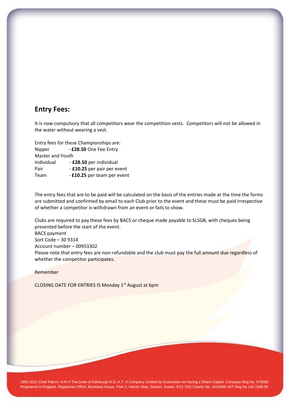## **Entry Fees:**

It is now compulsory that all competitors wear the competition vests. Competitors will not be allowed in the water without wearing a vest.

Entry fees for these Championships are: Nipper - **£28.50** One Fee Entry Master and Youth Individual - **£28.50** per individual Pair - **£10.25** per pair per event Team - **£10.25** per team per event

The entry fees that are to be paid will be calculated on the basis of the entries made at the time the forms are submitted and confirmed by email to each Club prior to the event and these must be paid irrespective of whether a competitor is withdrawn from an event or fails to show.

Clubs are required to pay these fees by BACS or cheque made payable to SLSGB, with cheques being presented before the start of the event. BACS payment Sort Code – 30 9314 Account number – 00953302 Please note that entry fees are non-refundable and the club must pay the full amount due regardless of whether the competitor participates.

Remember

CLOSING DATE FOR ENTRIES IS Monday 1<sup>st</sup> August at 6pm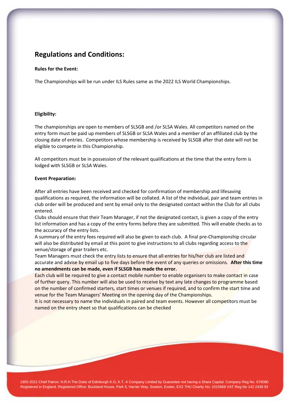## **Regulations and Conditions:**

### **Rules for the Event:**

The Championships will be run under ILS Rules same as the 2022 ILS World Championships.

### **Eligibility:**

The championships are open to members of SLSGB and /or SLSA Wales. All competitors named on the entry form must be paid up members of SLSGB or SLSA Wales and a member of an affiliated club by the closing date of entries. Competitors whose membership is received by SLSGB after that date will not be eligible to compete in this Championship.

All competitors must be in possession of the relevant qualifications at the time that the entry form is lodged with SLSGB or SLSA Wales.

### **Event Preparation:**

After all entries have been received and checked for confirmation of membership and lifesaving qualifications as required, the information will be collated. A list of the individual, pair and team entries in club order will be produced and sent by email only to the designated contact within the Club for all clubs entered.

Clubs should ensure that their Team Manager, if not the designated contact, is given a copy of the entry list information and has a copy of the entry forms before they are submitted. This will enable checks as to the accuracy of the entry lists.

A summary of the entry fees required will also be given to each club. A final pre-Championship circular will also be distributed by email at this point to give instructions to all clubs regarding access to the venue/storage of gear trailers etc.

Team Managers must check the entry lists to ensure that all entries for his/her club are listed and accurate and advise by email up to five days before the event of any queries or omissions. **After this time no amendments can be made, even if SLSGB has made the error.**

Each club will be required to give a contact mobile number to enable organisers to make contact in case of further query. This number will also be used to receive by text any late changes to programme based on the number of confirmed starters, start times or venues if required, and to confirm the start time and venue for the Team Managers' Meeting on the opening day of the Championships.

It is not necessary to name the individuals in paired and team events. However all competitors must be named on the entry sheet so that qualifications can be checked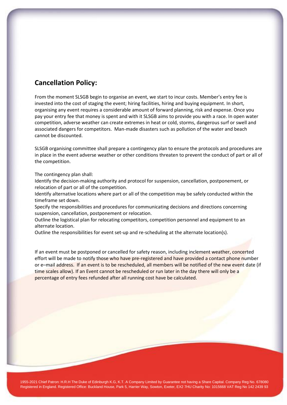## **Cancellation Policy:**

From the moment SLSGB begin to organise an event, we start to incur costs. Member's entry fee is invested into the cost of staging the event; hiring facilities, hiring and buying equipment. In short, organising any event requires a considerable amount of forward planning, risk and expense. Once you pay your entry fee that money is spent and with it SLSGB aims to provide you with a race. In open water competition, adverse weather can create extremes in heat or cold, storms, dangerous surf or swell and associated dangers for competitors. Man-made disasters such as pollution of the water and beach cannot be discounted.

SLSGB organising committee shall prepare a contingency plan to ensure the protocols and procedures are in place in the event adverse weather or other conditions threaten to prevent the conduct of part or all of the competition.

### The contingency plan shall:

Identify the decision-making authority and protocol for suspension, cancellation, postponement, or relocation of part or all of the competition.

Identify alternative locations where part or all of the competition may be safely conducted within the timeframe set down.

Specify the responsibilities and procedures for communicating decisions and directions concerning suspension, cancellation, postponement or relocation.

Outline the logistical plan for relocating competitors, competition personnel and equipment to an alternate location.

Outline the responsibilities for event set-up and re-scheduling at the alternate location(s).

If an event must be postponed or cancelled for safety reason, including inclement weather, concerted effort will be made to notify those who have pre-registered and have provided a contact phone number or e–mail address. If an event is to be rescheduled, all members will be notified of the new event date (if time scales allow). If an Event cannot be rescheduled or run later in the day there will only be a percentage of entry fees refunded after all running cost have be calculated.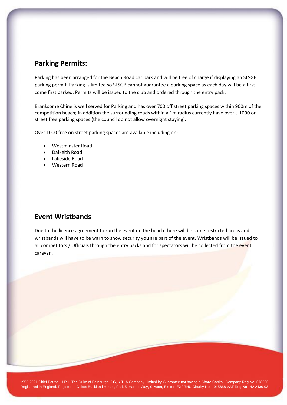## **Parking Permits:**

Parking has been arranged for the Beach Road car park and will be free of charge if displaying an SLSGB parking permit. Parking is limited so SLSGB cannot guarantee a parking space as each day will be a first come first parked. Permits will be issued to the club and ordered through the entry pack.

Branksome Chine is well served for Parking and has over 700 off street parking spaces within 900m of the competition beach; in addition the surrounding roads within a 1m radius currently have over a 1000 on street free parking spaces (the council do not allow overnight staying).

Over 1000 free on street parking spaces are available including on;

- Westminster Road
- Dalkeith Road
- Lakeside Road
- Western Road

## **Event Wristbands**

Due to the licence agreement to run the event on the beach there will be some restricted areas and wristbands will have to be warn to show security you are part of the event. Wristbands will be issued to all competitors / Officials through the entry packs and for spectators will be collected from the event caravan.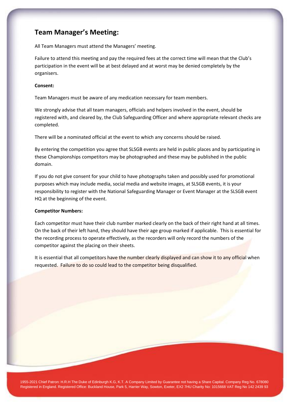## **Team Manager's Meeting:**

All Team Managers must attend the Managers' meeting.

Failure to attend this meeting and pay the required fees at the correct time will mean that the Club's participation in the event will be at best delayed and at worst may be denied completely by the organisers.

### **Consent:**

Team Managers must be aware of any medication necessary for team members.

We strongly advise that all team managers, officials and helpers involved in the event, should be registered with, and cleared by, the Club Safeguarding Officer and where appropriate relevant checks are completed.

There will be a nominated official at the event to which any concerns should be raised.

By entering the competition you agree that SLSGB events are held in public places and by participating in these Championships competitors may be photographed and these may be published in the public domain.

If you do not give consent for your child to have photographs taken and possibly used for promotional purposes which may include media, social media and website images, at SLSGB events, it is your responsibility to register with the National Safeguarding Manager or Event Manager at the SLSGB event HQ at the beginning of the event.

### **Competitor Numbers:**

Each competitor must have their club number marked clearly on the back of their right hand at all times. On the back of their left hand, they should have their age group marked if applicable. This is essential for the recording process to operate effectively, as the recorders will only record the numbers of the competitor against the placing on their sheets.

It is essential that all competitors have the number clearly displayed and can show it to any official when requested. Failure to do so could lead to the competitor being disqualified.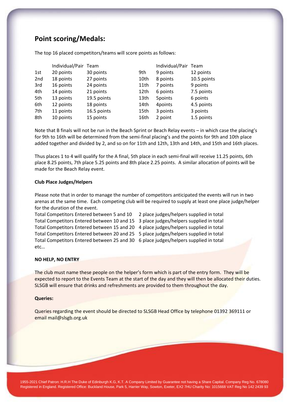# **Point scoring/Medals:**

| 12 points   |
|-------------|
|             |
| 10.5 points |
| 9 points    |
| 7.5 points  |
| 6 points    |
| 4.5 points  |
| 3 points    |
| 1.5 points  |
|             |

The top 16 placed competitors/teams will score points as follows:

Note that B finals will not be run in the Beach Sprint or Beach Relay events – in which case the placing's for 9th to 16th will be determined from the semi-final placing's and the points for 9th and 10th place added together and divided by 2, and so on for 11th and 12th, 13th and 14th, and 15th and 16th places.

Thus places 1 to 4 will qualify for the A final, 5th place in each semi-final will receive 11.25 points, 6th place 8.25 points, 7th place 5.25 points and 8th place 2.25 points. A similar allocation of points will be made for the Beach Relay event.

### **Club Place Judges/Helpers**

Please note that in order to manage the number of competitors anticipated the events will run in two arenas at the same time. Each competing club will be required to supply at least one place judge/helper for the duration of the event.

Total Competitors Entered between 5 and 10 2 place judges/helpers supplied in total Total Competitors Entered between 10 and 15 3 place judges/helpers supplied in total Total Competitors Entered between 15 and 20 4 place judges/helpers supplied in total Total Competitors Entered between 20 and 25 5 place judges/helpers supplied in total Total Competitors Entered between 25 and 30 6 place judges/helpers supplied in total etc…

- 
- 
- 
- -

#### **NO HELP, NO ENTRY**

The club must name these people on the helper's form which is part of the entry form. They will be expected to report to the Events Team at the start of the day and they will then be allocated their duties. SLSGB will ensure that drinks and refreshments are provided to them throughout the day.

#### **Queries:**

Queries regarding the event should be directed to SLSGB Head Office by telephone 01392 369111 or email mail@slsgb.org.uk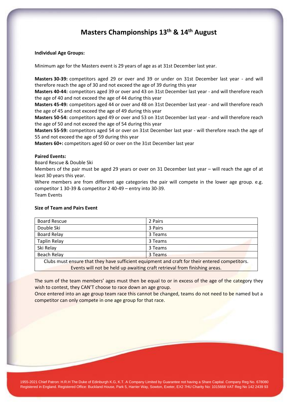## **Masters Championships 13 th & 14 th August**

### **Individual Age Groups:**

Minimum age for the Masters event is 29 years of age as at 31st December last year.

**Masters 30-39:** competitors aged 29 or over and 39 or under on 31st December last year - and will therefore reach the age of 30 and not exceed the age of 39 during this year

**Masters 40-44:** competitors aged 39 or over and 43 on 31st December last year - and will therefore reach the age of 40 and not exceed the age of 44 during this year

**Masters 45-49:** competitors aged 44 or over and 48 on 31st December last year - and will therefore reach the age of 45 and not exceed the age of 49 during this year

**Masters 50-54:** competitors aged 49 or over and 53 on 31st December last year - and will therefore reach the age of 50 and not exceed the age of 54 during this year

**Masters 55-59:** competitors aged 54 or over on 31st December last year - will therefore reach the age of 55 and not exceed the age of 59 during this year

**Masters 60+:** competitors aged 60 or over on the 31st December last year

### **Paired Events:**

Board Rescue & Double Ski

Members of the pair must be aged 29 years or over on 31 December last year – will reach the age of at least 30 years this year.

Where members are from different age categories the pair will compete in the lower age group. e.g. competitor 1 30-39 & competitor 2 40-49 – entry into 30-39. Team Events

### **Size of Team and Pairs Event**

| <b>Board Rescue</b>                                                                            | 2 Pairs |  |
|------------------------------------------------------------------------------------------------|---------|--|
| Double Ski                                                                                     | 3 Pairs |  |
| <b>Board Relay</b>                                                                             | 3 Teams |  |
| <b>Taplin Relay</b>                                                                            | 3 Teams |  |
| Ski Relay                                                                                      | 3 Teams |  |
| Beach Relay                                                                                    | 3 Teams |  |
| Clubs must ensure that they have sufficient equipment and craft for their entered competitors. |         |  |
| Events will not be held up awaiting craft retrieval from finishing areas.                      |         |  |

The sum of the team members' ages must then be equal to or in excess of the age of the category they wish to contest, they CAN'T choose to race down an age group.

Once entered into an age group team race this cannot be changed, teams do not need to be named but a competitor can only compete in one age group for that race.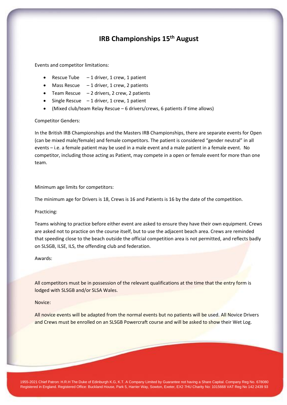## **IRB Championships 15 th August**

Events and competitor limitations:

- Rescue Tube  $-1$  driver, 1 crew, 1 patient
- Mass Rescue  $-1$  driver, 1 crew, 2 patients
- Team Rescue  $-2$  drivers, 2 crew, 2 patients
- Single Rescue  $-1$  driver, 1 crew, 1 patient
- (Mixed club/team Relay Rescue 6 drivers/crews, 6 patients if time allows)

#### Competitor Genders:

In the British IRB Championships and the Masters IRB Championships, there are separate events for Open (can be mixed male/female) and female competitors. The patient is considered "gender neutral" in all events – i.e. a female patient may be used in a male event and a male patient in a female event. No competitor, including those acting as Patient, may compete in a open or female event for more than one team.

#### Minimum age limits for competitors:

The minimum age for Drivers is 18, Crews is 16 and Patients is 16 by the date of the competition.

#### Practicing:

Teams wishing to practice before either event are asked to ensure they have their own equipment. Crews are asked not to practice on the course itself, but to use the adjacent beach area. Crews are reminded that speeding close to the beach outside the official competition area is not permitted, and reflects badly on SLSGB, ILSE, ILS, the offending club and federation.

Awards:

All competitors must be in possession of the relevant qualifications at the time that the entry form is lodged with SLSGB and/or SLSA Wales.

#### Novice:

All novice events will be adapted from the normal events but no patients will be used. All Novice Drivers and Crews must be enrolled on an SLSGB Powercraft course and will be asked to show their Wet Log.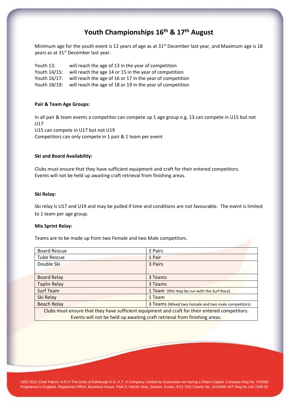# **Youth Championships 16th & 17th August**

Minimum age for the youth event is 12 years of age as at 31<sup>st</sup> December last year, and Maximum age is 18 years as at 31<sup>st</sup> December last year.

Youth 13: will reach the age of 13 in the year of competition Youth 14/15: will reach the age 14 or 15 in the year of competition Youth 16/17: will reach the age of 16 or 17 in the year of competition Youth 18/19: will reach the age of 18 or 19 in the year of competition

### **Pair & Team Age Groups:**

In all pair & team events a competitor can compete up 1 age group e.g. 13 can compete in U15 but not U17 U15 can compete in U17 but not U19 Competitors can only compete in 1 pair & 1 team per event

### **Ski and Board Availability:**

Clubs must ensure that they have sufficient equipment and craft for their entered competitors. Events will not be held up awaiting craft retrieval from finishing areas.

#### **Ski Relay:**

Ski relay is U17 and U19 and may be pulled if time and conditions are not favourable. The event is limited to 1 team per age group.

#### **Mix Sprint Relay:**

Teams are to be made up from two Female and two Male competitors.

| <b>Board Rescue</b>                                                                            | 2 Pairs                                             |  |
|------------------------------------------------------------------------------------------------|-----------------------------------------------------|--|
| <b>Tube Rescue</b>                                                                             | 1 Pair                                              |  |
| Double Ski                                                                                     | 3 Pairs                                             |  |
|                                                                                                |                                                     |  |
| <b>Board Relay</b>                                                                             | 3 Teams                                             |  |
| <b>Taplin Relay</b>                                                                            | 3 Teams                                             |  |
| Surf Team                                                                                      | 1 Team (this may be run with the Surf Race)         |  |
| Ski Relay                                                                                      | 1 Team                                              |  |
| <b>Beach Relay</b>                                                                             | 3 Teams (Mixed two Female and two male competitors) |  |
| Clubs must ensure that they have sufficient equipment and craft for their entered competitors. |                                                     |  |
| Events will not be held up awaiting craft retrieval from finishing areas.                      |                                                     |  |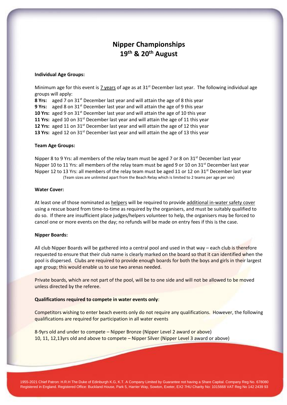# **Nipper Championships 19th & 20 th August**

#### **Individual Age Groups:**

Minimum age for this event is 7 years of age as at  $31<sup>st</sup>$  December last year. The following individual age groups will apply:

**8 Yrs:** aged 7 on 31<sup>st</sup> December last year and will attain the age of 8 this year **9 Yrs:** aged 8 on 31<sup>st</sup> December last year and will attain the age of 9 this year **10 Yrs:** aged 9 on 31<sup>st</sup> December last year and will attain the age of 10 this year **11 Yrs:** aged 10 on 31<sup>st</sup> December last year and will attain the age of 11 this year 12 Yrs: aged 11 on 31<sup>st</sup> December last year and will attain the age of 12 this year 13 Yrs: aged 12 on 31<sup>st</sup> December last year and will attain the age of 13 this year

#### **Team Age Groups:**

Nipper 8 to 9 Yrs: all members of the relay team must be aged 7 or 8 on  $31^{st}$  December last year Nipper 10 to 11 Yrs: all members of the relay team must be aged 9 or 10 on  $31^{st}$  December last year Nipper 12 to 13 Yrs: all members of the relay team must be aged 11 or 12 on 31<sup>st</sup> December last year (Team sizes are unlimited apart from the Beach Relay which is limited to 2 teams per age per sex)

#### **Water Cover:**

At least one of those nominated as helpers will be required to provide additional in-water safety cover using a rescue board from time-to-time as required by the organisers, and must be suitably qualified to do so. If there are insufficient place judges/helpers volunteer to help, the organisers may be forced to cancel one or more events on the day; no refunds will be made on entry fees if this is the case.

#### **Nipper Boards:**

All club Nipper Boards will be gathered into a central pool and used in that way – each club is therefore requested to ensure that their club name is clearly marked on the board so that it can identified when the pool is dispersed. Clubs are required to provide enough boards for both the boys and girls in their largest age group; this would enable us to use two arenas needed.

Private boards, which are not part of the pool, will be to one side and will not be allowed to be moved unless directed by the referee.

### **Qualifications required to compete in water events only**:

Competitors wishing to enter beach events only do not require any qualifications. However, the following qualifications are required for participation in all water events

8-9yrs old and under to compete – Nipper Bronze (Nipper Level 2 award or above) 10, 11, 12,13yrs old and above to compete – Nipper Silver (Nipper Level 3 award or above)